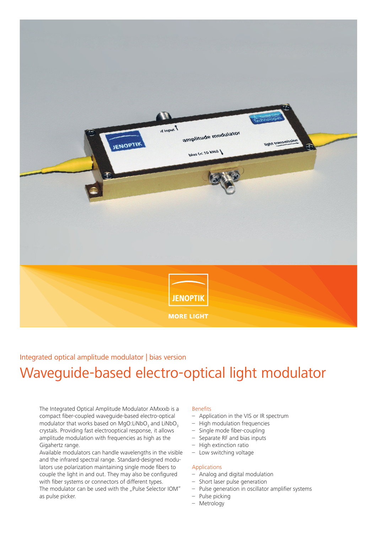

# Waveguide-based electro-optical light modulator Integrated optical amplitude modulator | bias version

The Integrated Optical Amplitude Modulator AMxxxb is a compact fiber-coupled waveguide-based electro-optical modulator that works based on MgO:LiNbO<sub>3</sub> and LiNbO<sub>3</sub> crystals. Providing fast electrooptical response, it allows amplitude modulation with frequencies as high as the Gigahertz range.

Available modulators can handle wavelengths in the visible and the infrared spectral range. Standard-designed modulators use polarization maintaining single mode fibers to couple the light in and out. They may also be configured with fiber systems or connectors of different types. The modulator can be used with the "Pulse Selector IOM" as pulse picker.

### Benefits

- Application in the VIS or IR spectrum
- High modulation frequencies
- Single mode fiber-coupling
- Separate RF and bias inputs
- High extinction ratio
- Low switching voltage

#### Applications

- Analog and digital modulation
- Short laser pulse generation
- Pulse generation in oscillator amplifier systems
- Pulse picking
- Metrology